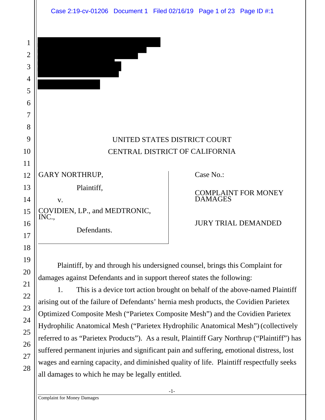1

|                                                    | UNITED STATES DISTRICT COURT                 |
|----------------------------------------------------|----------------------------------------------|
|                                                    | CENTRAL DISTRICT OF CALIFORNIA               |
| <b>GARY NORTHRUP,</b>                              | Case No.:                                    |
| Plaintiff,<br>V.                                   | <b>COMPLAINT FOR MONEY</b><br><b>DAMAGES</b> |
| COVIDIEN, LP., and MEDTRONIC, INC.,<br>Defendants. | <b>JURY TRIAL DEMANDED</b>                   |
|                                                    |                                              |

Plaintiff, by and through his undersigned counsel, brings this Complaint for damages against Defendants and in support thereof states the following:

1. This is a device tort action brought on behalf of the above-named Plaintiff arising out of the failure of Defendants' hernia mesh products, the Covidien Parietex Optimized Composite Mesh ("Parietex Composite Mesh") and the Covidien Parietex Hydrophilic Anatomical Mesh ("Parietex Hydrophilic Anatomical Mesh") (collectively referred to as "Parietex Products"). As a result, Plaintiff Gary Northrup ("Plaintiff") has suffered permanent injuries and significant pain and suffering, emotional distress, lost wages and earning capacity, and diminished quality of life. Plaintiff respectfully seeks all damages to which he may be legally entitled.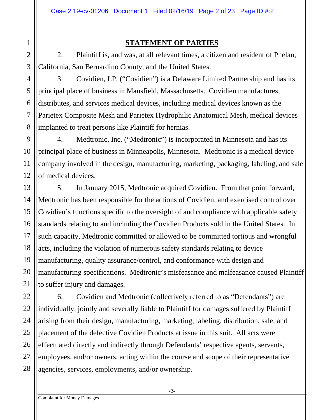#### **STATEMENT OF PARTIES**

2. Plaintiff is, and was, at all relevant times, a citizen and resident of Phelan, California, San Bernardino County, and the United States.

3. Covidien, LP, ("Covidien") is a Delaware Limited Partnership and has its principal place of business in Mansfield, Massachusetts. Covidien manufactures, distributes, and services medical devices, including medical devices known as the Parietex Composite Mesh and Parietex Hydrophilic Anatomical Mesh, medical devices implanted to treat persons like Plaintiff for hernias.

4. Medtronic, Inc. ("Medtronic") is incorporated in Minnesota and has its principal place of business in Minneapolis, Minnesota. Medtronic is a medical device company involved in the design, manufacturing, marketing, packaging, labeling, and sale of medical devices.

5. In January 2015, Medtronic acquired Covidien. From that point forward, Medtronic has been responsible for the actions of Covidien, and exercised control over Covidien's functions specific to the oversight of and compliance with applicable safety standards relating to and including the Covidien Products sold in the United States. In such capacity, Medtronic committed or allowed to be committed tortious and wrongful acts, including the violation of numerous safety standards relating to device manufacturing, quality assurance/control, and conformance with design and manufacturing specifications. Medtronic's misfeasance and malfeasance caused Plaintiff to suffer injury and damages.

6. Covidien and Medtronic (collectively referred to as "Defendants") are individually, jointly and severally liable to Plaintiff for damages suffered by Plaintiff arising from their design, manufacturing, marketing, labeling, distribution, sale, and placement of the defective Covidien Products at issue in this suit. All acts were effectuated directly and indirectly through Defendants' respective agents, servants, employees, and/or owners, acting within the course and scope of their representative agencies, services, employments, and/or ownership.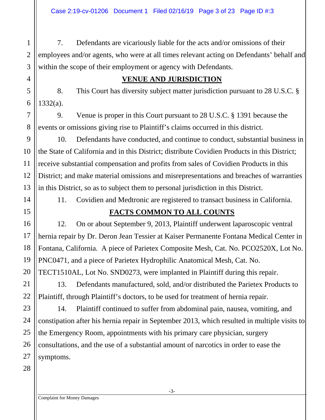7. Defendants are vicariously liable for the acts and/or omissions of their employees and/or agents, who were at all times relevant acting on Defendants' behalf and within the scope of their employment or agency with Defendants.

#### **VENUE AND JURISDICTION**

8. This Court has diversity subject matter jurisdiction pursuant to 28 U.S.C. § 1332(a).

9. Venue is proper in this Court pursuant to 28 U.S.C. § 1391 because the events or omissions giving rise to Plaintiff's claims occurred in this district.

9 10 11 12 13 10. Defendants have conducted, and continue to conduct, substantial business in the State of California and in this District; distribute Covidien Products in this District; receive substantial compensation and profits from sales of Covidien Products in this District; and make material omissions and misrepresentations and breaches of warranties in this District, so as to subject them to personal jurisdiction in this District.

14

15

16

17

18

19

20

1

2

3

4

5

6

7

8

11. Covidien and Medtronic are registered to transact business in California.

## **FACTS COMMON TO ALL COUNTS**

12. On or about September 9, 2013, Plaintiff underwent laparoscopic ventral hernia repair by Dr. Deron Jean Tessier at Kaiser Permanente Fontana Medical Center in Fontana, California. A piece of Parietex Composite Mesh, Cat. No. PCO2520X, Lot No. PNC0471, and a piece of Parietex Hydrophilic Anatomical Mesh, Cat. No. TECT1510AL, Lot No. SND0273, were implanted in Plaintiff during this repair.

13. Defendants manufactured, sold, and/or distributed the Parietex Products to Plaintiff, through Plaintiff's doctors, to be used for treatment of hernia repair.

14. Plaintiff continued to suffer from abdominal pain, nausea, vomiting, and constipation after his hernia repair in September 2013, which resulted in multiple visits to the Emergency Room, appointments with his primary care physician, surgery consultations, and the use of a substantial amount of narcotics in order to ease the symptoms.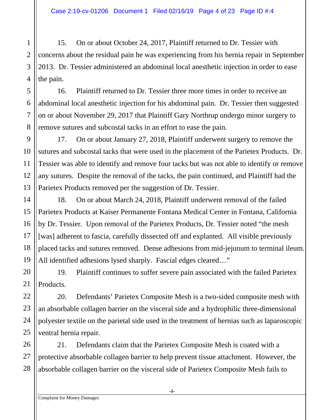15. On or about October 24, 2017, Plaintiff returned to Dr. Tessier with concerns about the residual pain he was experiencing from his hernia repair in September 2013. Dr. Tessier administered an abdominal local anesthetic injection in order to ease the pain.

16. Plaintiff returned to Dr. Tessier three more times in order to receive an abdominal local anesthetic injection for his abdominal pain. Dr. Tessier then suggested on or about November 29, 2017 that Plaintiff Gary Northrup undergo minor surgery to remove sutures and subcostal tacks in an effort to ease the pain.

17. On or about January 27, 2018, Plaintiff underwent surgery to remove the sutures and subcostal tacks that were used in the placement of the Parietex Products. Dr. Tessier was able to identify and remove four tacks but was not able to identify or remove any sutures. Despite the removal of the tacks, the pain continued, and Plaintiff had the Parietex Products removed per the suggestion of Dr. Tessier.

18. On or about March 24, 2018, Plaintiff underwent removal of the failed Parietex Products at Kaiser Permanente Fontana Medical Center in Fontana, California by Dr. Tessier. Upon removal of the Parietex Products, Dr. Tessier noted "the mesh [was] adherent to fascia, carefully dissected off and explanted. All visible previously placed tacks and sutures removed. Dense adhesions from mid-jejunum to terminal ileum. All identified adhesions lysed sharply. Fascial edges cleared…"

20 21 19. Plaintiff continues to suffer severe pain associated with the failed Parietex Products.

20. Defendants' Parietex Composite Mesh is a two-sided composite mesh with an absorbable collagen barrier on the visceral side and a hydrophilic three-dimensional polyester textile on the parietal side used in the treatment of hernias such as laparoscopic ventral hernia repair.

26 27 28 21. Defendants claim that the Parietex Composite Mesh is coated with a protective absorbable collagen barrier to help prevent tissue attachment. However, the absorbable collagen barrier on the visceral side of Parietex Composite Mesh fails to

1

2

3

4

5

6

7

8

9

10

11

12

13

14

15

16

17

18

19

22

23

24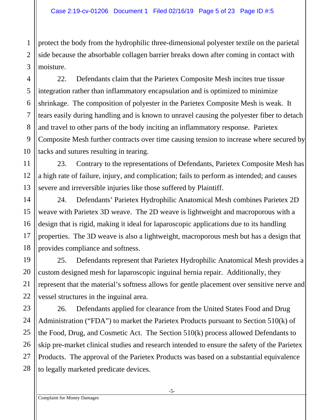protect the body from the hydrophilic three-dimensional polyester textile on the parietal side because the absorbable collagen barrier breaks down after coming in contact with moisture.

22. Defendants claim that the Parietex Composite Mesh incites true tissue integration rather than inflammatory encapsulation and is optimized to minimize shrinkage. The composition of polyester in the Parietex Composite Mesh is weak. It tears easily during handling and is known to unravel causing the polyester fiber to detach and travel to other parts of the body inciting an inflammatory response. Parietex Composite Mesh further contracts over time causing tension to increase where secured by tacks and sutures resulting in tearing.

23. Contrary to the representations of Defendants, Parietex Composite Mesh has a high rate of failure, injury, and complication; fails to perform as intended; and causes severe and irreversible injuries like those suffered by Plaintiff.

24. Defendants' Parietex Hydrophilic Anatomical Mesh combines Parietex 2D weave with Parietex 3D weave. The 2D weave is lightweight and macroporous with a design that is rigid, making it ideal for laparoscopic applications due to its handling properties. The 3D weave is also a lightweight, macroporous mesh but has a design that provides compliance and softness.

25. Defendants represent that Parietex Hydrophilic Anatomical Mesh provides a custom designed mesh for laparoscopic inguinal hernia repair. Additionally, they represent that the material's softness allows for gentle placement over sensitive nerve and vessel structures in the inguinal area.

26. Defendants applied for clearance from the United States Food and Drug Administration ("FDA") to market the Parietex Products pursuant to Section 510(k) of the Food, Drug, and Cosmetic Act. The Section 510(k) process allowed Defendants to skip pre-market clinical studies and research intended to ensure the safety of the Parietex Products. The approval of the Parietex Products was based on a substantial equivalence to legally marketed predicate devices.

1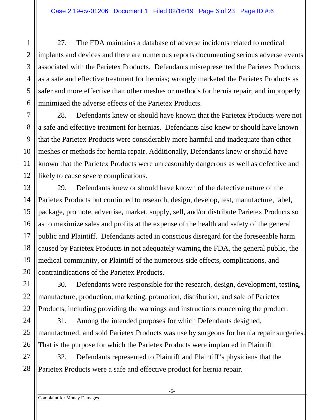27. The FDA maintains a database of adverse incidents related to medical implants and devices and there are numerous reports documenting serious adverse events associated with the Parietex Products. Defendants misrepresented the Parietex Products as a safe and effective treatment for hernias; wrongly marketed the Parietex Products as safer and more effective than other meshes or methods for hernia repair; and improperly minimized the adverse effects of the Parietex Products.

28. Defendants knew or should have known that the Parietex Products were not a safe and effective treatment for hernias. Defendants also knew or should have known that the Parietex Products were considerably more harmful and inadequate than other meshes or methods for hernia repair. Additionally, Defendants knew or should have known that the Parietex Products were unreasonably dangerous as well as defective and likely to cause severe complications.

29. Defendants knew or should have known of the defective nature of the Parietex Products but continued to research, design, develop, test, manufacture, label, package, promote, advertise, market, supply, sell, and/or distribute Parietex Products so as to maximize sales and profits at the expense of the health and safety of the general public and Plaintiff. Defendants acted in conscious disregard for the foreseeable harm caused by Parietex Products in not adequately warning the FDA, the general public, the medical community, or Plaintiff of the numerous side effects, complications, and contraindications of the Parietex Products.

30. Defendants were responsible for the research, design, development, testing, manufacture, production, marketing, promotion, distribution, and sale of Parietex Products, including providing the warnings and instructions concerning the product.

31. Among the intended purposes for which Defendants designed, manufactured, and sold Parietex Products was use by surgeons for hernia repair surgeries. That is the purpose for which the Parietex Products were implanted in Plaintiff.

27 28 32. Defendants represented to Plaintiff and Plaintiff's physicians that the Parietex Products were a safe and effective product for hernia repair.

1

2

3

4

5

6

7

8

9

10

11

12

13

14

15

16

17

18

19

20

21

22

23

24

25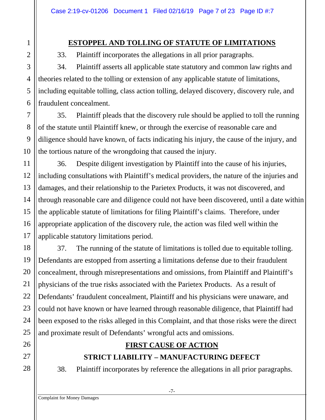#### **ESTOPPEL AND TOLLING OF STATUTE OF LIMITATIONS**

33. Plaintiff incorporates the allegations in all prior paragraphs.

34. Plaintiff asserts all applicable state statutory and common law rights and theories related to the tolling or extension of any applicable statute of limitations, including equitable tolling, class action tolling, delayed discovery, discovery rule, and fraudulent concealment.

35. Plaintiff pleads that the discovery rule should be applied to toll the running of the statute until Plaintiff knew, or through the exercise of reasonable care and diligence should have known, of facts indicating his injury, the cause of the injury, and the tortious nature of the wrongdoing that caused the injury.

36. Despite diligent investigation by Plaintiff into the cause of his injuries, including consultations with Plaintiff's medical providers, the nature of the injuries and damages, and their relationship to the Parietex Products, it was not discovered, and through reasonable care and diligence could not have been discovered, until a date within the applicable statute of limitations for filing Plaintiff's claims. Therefore, under appropriate application of the discovery rule, the action was filed well within the applicable statutory limitations period.

37. The running of the statute of limitations is tolled due to equitable tolling. Defendants are estopped from asserting a limitations defense due to their fraudulent concealment, through misrepresentations and omissions, from Plaintiff and Plaintiff's physicians of the true risks associated with the Parietex Products. As a result of Defendants' fraudulent concealment, Plaintiff and his physicians were unaware, and could not have known or have learned through reasonable diligence, that Plaintiff had been exposed to the risks alleged in this Complaint, and that those risks were the direct and proximate result of Defendants' wrongful acts and omissions.

# **FIRST CAUSE OF ACTION**

# **STRICT LIABILITY – MANUFACTURING DEFECT**

38. Plaintiff incorporates by reference the allegations in all prior paragraphs.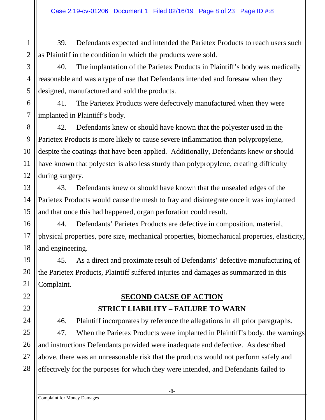39. Defendants expected and intended the Parietex Products to reach users such as Plaintiff in the condition in which the products were sold.

40. The implantation of the Parietex Products in Plaintiff's body was medically reasonable and was a type of use that Defendants intended and foresaw when they designed, manufactured and sold the products.

41. The Parietex Products were defectively manufactured when they were implanted in Plaintiff's body.

42. Defendants knew or should have known that the polyester used in the Parietex Products is more likely to cause severe inflammation than polypropylene, despite the coatings that have been applied. Additionally, Defendants knew or should have known that polyester is also less sturdy than polypropylene, creating difficulty during surgery.

43. Defendants knew or should have known that the unsealed edges of the Parietex Products would cause the mesh to fray and disintegrate once it was implanted and that once this had happened, organ perforation could result.

44. Defendants' Parietex Products are defective in composition, material, physical properties, pore size, mechanical properties, biomechanical properties, elasticity, and engineering.

45. As a direct and proximate result of Defendants' defective manufacturing of the Parietex Products, Plaintiff suffered injuries and damages as summarized in this Complaint.

> **SECOND CAUSE OF ACTION STRICT LIABILITY – FAILURE TO WARN**

46. Plaintiff incorporates by reference the allegations in all prior paragraphs. 47. When the Parietex Products were implanted in Plaintiff's body, the warnings and instructions Defendants provided were inadequate and defective. As described above, there was an unreasonable risk that the products would not perform safely and effectively for the purposes for which they were intended, and Defendants failed to

1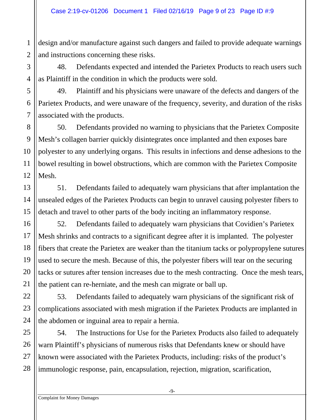design and/or manufacture against such dangers and failed to provide adequate warnings and instructions concerning these risks.

48. Defendants expected and intended the Parietex Products to reach users such as Plaintiff in the condition in which the products were sold.

49. Plaintiff and his physicians were unaware of the defects and dangers of the Parietex Products, and were unaware of the frequency, severity, and duration of the risks associated with the products.

50. Defendants provided no warning to physicians that the Parietex Composite Mesh's collagen barrier quickly disintegrates once implanted and then exposes bare polyester to any underlying organs. This results in infections and dense adhesions to the bowel resulting in bowel obstructions, which are common with the Parietex Composite Mesh.

51. Defendants failed to adequately warn physicians that after implantation the unsealed edges of the Parietex Products can begin to unravel causing polyester fibers to detach and travel to other parts of the body inciting an inflammatory response.

52. Defendants failed to adequately warn physicians that Covidien's Parietex Mesh shrinks and contracts to a significant degree after it is implanted. The polyester fibers that create the Parietex are weaker than the titanium tacks or polypropylene sutures used to secure the mesh. Because of this, the polyester fibers will tear on the securing tacks or sutures after tension increases due to the mesh contracting. Once the mesh tears, the patient can re-herniate, and the mesh can migrate or ball up.

53. Defendants failed to adequately warn physicians of the significant risk of complications associated with mesh migration if the Parietex Products are implanted in the abdomen or inguinal area to repair a hernia.

54. The Instructions for Use for the Parietex Products also failed to adequately warn Plaintiff's physicians of numerous risks that Defendants knew or should have known were associated with the Parietex Products, including: risks of the product's immunologic response, pain, encapsulation, rejection, migration, scarification,

1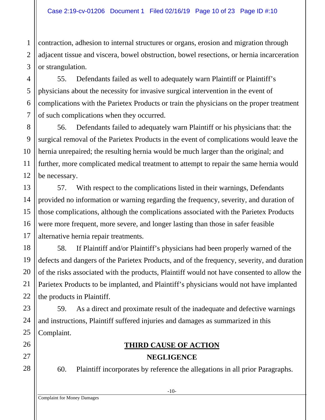contraction, adhesion to internal structures or organs, erosion and migration through adjacent tissue and viscera, bowel obstruction, bowel resections, or hernia incarceration or strangulation.

55. Defendants failed as well to adequately warn Plaintiff or Plaintiff's physicians about the necessity for invasive surgical intervention in the event of complications with the Parietex Products or train the physicians on the proper treatment of such complications when they occurred.

56. Defendants failed to adequately warn Plaintiff or his physicians that: the surgical removal of the Parietex Products in the event of complications would leave the hernia unrepaired; the resulting hernia would be much larger than the original; and further, more complicated medical treatment to attempt to repair the same hernia would be necessary.

57. With respect to the complications listed in their warnings, Defendants provided no information or warning regarding the frequency, severity, and duration of those complications, although the complications associated with the Parietex Products were more frequent, more severe, and longer lasting than those in safer feasible alternative hernia repair treatments.

58. If Plaintiff and/or Plaintiff's physicians had been properly warned of the defects and dangers of the Parietex Products, and of the frequency, severity, and duration of the risks associated with the products, Plaintiff would not have consented to allow the Parietex Products to be implanted, and Plaintiff's physicians would not have implanted the products in Plaintiff.

59. As a direct and proximate result of the inadequate and defective warnings and instructions, Plaintiff suffered injuries and damages as summarized in this Complaint.

#### **THIRD CAUSE OF ACTION NEGLIGENCE**

-10-

60. Plaintiff incorporates by reference the allegations in all prior Paragraphs.

1

2

Complaint for Money Damages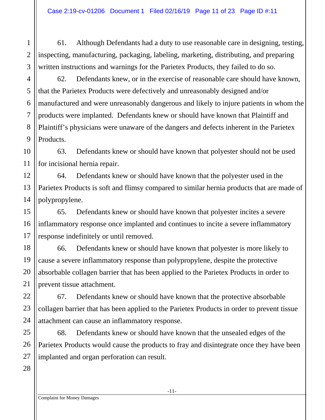61. Although Defendants had a duty to use reasonable care in designing, testing, inspecting, manufacturing, packaging, labeling, marketing, distributing, and preparing written instructions and warnings for the Parietex Products, they failed to do so.

62. Defendants knew, or in the exercise of reasonable care should have known, that the Parietex Products were defectively and unreasonably designed and/or manufactured and were unreasonably dangerous and likely to injure patients in whom the products were implanted. Defendants knew or should have known that Plaintiff and Plaintiff's physicians were unaware of the dangers and defects inherent in the Parietex Products.

63. Defendants knew or should have known that polyester should not be used for incisional hernia repair.

64. Defendants knew or should have known that the polyester used in the Parietex Products is soft and flimsy compared to similar hernia products that are made of polypropylene.

65. Defendants knew or should have known that polyester incites a severe inflammatory response once implanted and continues to incite a severe inflammatory response indefinitely or until removed.

66. Defendants knew or should have known that polyester is more likely to cause a severe inflammatory response than polypropylene, despite the protective absorbable collagen barrier that has been applied to the Parietex Products in order to prevent tissue attachment.

67. Defendants knew or should have known that the protective absorbable collagen barrier that has been applied to the Parietex Products in order to prevent tissue attachment can cause an inflammatory response.

68. Defendants knew or should have known that the unsealed edges of the Parietex Products would cause the products to fray and disintegrate once they have been implanted and organ perforation can result.

1

2

3

4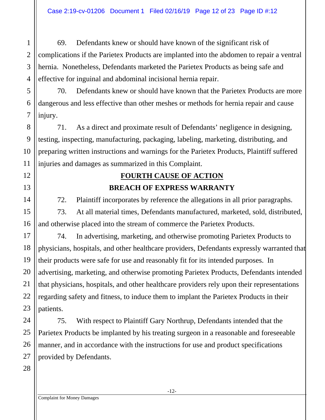69. Defendants knew or should have known of the significant risk of complications if the Parietex Products are implanted into the abdomen to repair a ventral hernia. Nonetheless, Defendants marketed the Parietex Products as being safe and effective for inguinal and abdominal incisional hernia repair.

70. Defendants knew or should have known that the Parietex Products are more dangerous and less effective than other meshes or methods for hernia repair and cause injury.

71. As a direct and proximate result of Defendants' negligence in designing, testing, inspecting, manufacturing, packaging, labeling, marketing, distributing, and preparing written instructions and warnings for the Parietex Products, Plaintiff suffered injuries and damages as summarized in this Complaint.

# **FOURTH CAUSE OF ACTION BREACH OF EXPRESS WARRANTY**

72. Plaintiff incorporates by reference the allegations in all prior paragraphs.

73. At all material times, Defendants manufactured, marketed, sold, distributed, and otherwise placed into the stream of commerce the Parietex Products.

74. In advertising, marketing, and otherwise promoting Parietex Products to physicians, hospitals, and other healthcare providers, Defendants expressly warranted that their products were safe for use and reasonably fit for its intended purposes. In advertising, marketing, and otherwise promoting Parietex Products, Defendants intended that physicians, hospitals, and other healthcare providers rely upon their representations regarding safety and fitness, to induce them to implant the Parietex Products in their patients.

75. With respect to Plaintiff Gary Northrup, Defendants intended that the Parietex Products be implanted by his treating surgeon in a reasonable and foreseeable manner, and in accordance with the instructions for use and product specifications provided by Defendants.

1

2

3

4

5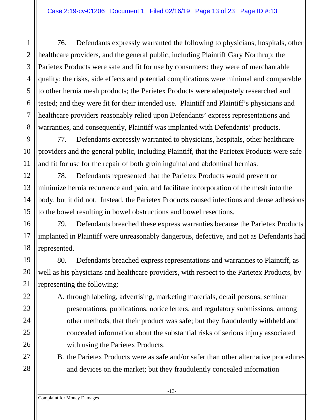76. Defendants expressly warranted the following to physicians, hospitals, other healthcare providers, and the general public, including Plaintiff Gary Northrup: the Parietex Products were safe and fit for use by consumers; they were of merchantable quality; the risks, side effects and potential complications were minimal and comparable to other hernia mesh products; the Parietex Products were adequately researched and tested; and they were fit for their intended use. Plaintiff and Plaintiff's physicians and healthcare providers reasonably relied upon Defendants' express representations and warranties, and consequently, Plaintiff was implanted with Defendants' products.

77. Defendants expressly warranted to physicians, hospitals, other healthcare providers and the general public, including Plaintiff, that the Parietex Products were safe and fit for use for the repair of both groin inguinal and abdominal hernias.

78. Defendants represented that the Parietex Products would prevent or minimize hernia recurrence and pain, and facilitate incorporation of the mesh into the body, but it did not. Instead, the Parietex Products caused infections and dense adhesions to the bowel resulting in bowel obstructions and bowel resections.

79. Defendants breached these express warranties because the Parietex Products implanted in Plaintiff were unreasonably dangerous, defective, and not as Defendants had represented.

80. Defendants breached express representations and warranties to Plaintiff, as well as his physicians and healthcare providers, with respect to the Parietex Products, by representing the following:

A. through labeling, advertising, marketing materials, detail persons, seminar presentations, publications, notice letters, and regulatory submissions, among other methods, that their product was safe; but they fraudulently withheld and concealed information about the substantial risks of serious injury associated with using the Parietex Products.

B. the Parietex Products were as safe and/or safer than other alternative procedures and devices on the market; but they fraudulently concealed information

1

2

3

4

5

6

7

8

9

10

11

12

13

14

15

16

17

18

19

20

21

22

23

24

25

26

27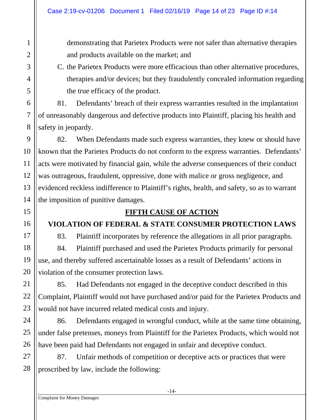demonstrating that Parietex Products were not safer than alternative therapies and products available on the market; and

C. the Parietex Products were more efficacious than other alternative procedures, therapies and/or devices; but they fraudulently concealed information regarding the true efficacy of the product.

81. Defendants' breach of their express warranties resulted in the implantation of unreasonably dangerous and defective products into Plaintiff, placing his health and safety in jeopardy.

82. When Defendants made such express warranties, they knew or should have known that the Parietex Products do not conform to the express warranties. Defendants' acts were motivated by financial gain, while the adverse consequences of their conduct was outrageous, fraudulent, oppressive, done with malice or gross negligence, and evidenced reckless indifference to Plaintiff's rights, health, and safety, so as to warrant the imposition of punitive damages.

### **FIFTH CAUSE OF ACTION**

## **VIOLATION OF FEDERAL & STATE CONSUMER PROTECTION LAWS**

83. Plaintiff incorporates by reference the allegations in all prior paragraphs. 84. Plaintiff purchased and used the Parietex Products primarily for personal

use, and thereby suffered ascertainable losses as a result of Defendants' actions in violation of the consumer protection laws.

85. Had Defendants not engaged in the deceptive conduct described in this Complaint, Plaintiff would not have purchased and/or paid for the Parietex Products and would not have incurred related medical costs and injury.

86. Defendants engaged in wrongful conduct, while at the same time obtaining, under false pretenses, moneys from Plaintiff for the Parietex Products, which would not have been paid had Defendants not engaged in unfair and deceptive conduct.

27 28 87. Unfair methods of competition or deceptive acts or practices that were proscribed by law, include the following:

1

2

3

4

5

6

7

8

9

10

11

12

13

14

15

16

17

18

19

20

21

22

23

24

25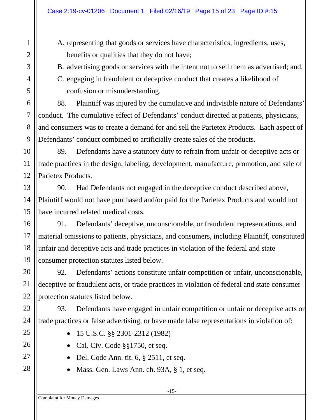# A. representing that goods or services have characteristics, ingredients, uses, benefits or qualities that they do not have;

B. advertising goods or services with the intent not to sell them as advertised; and,

C. engaging in fraudulent or deceptive conduct that creates a likelihood of confusion or misunderstanding.

88. Plaintiff was injured by the cumulative and indivisible nature of Defendants' conduct. The cumulative effect of Defendants' conduct directed at patients, physicians, and consumers was to create a demand for and sell the Parietex Products. Each aspect of Defendants' conduct combined to artificially create sales of the products.

89. Defendants have a statutory duty to refrain from unfair or deceptive acts or trade practices in the design, labeling, development, manufacture, promotion, and sale of Parietex Products.

90. Had Defendants not engaged in the deceptive conduct described above, Plaintiff would not have purchased and/or paid for the Parietex Products and would not have incurred related medical costs.

91. Defendants' deceptive, unconscionable, or fraudulent representations, and material omissions to patients, physicians, and consumers, including Plaintiff, constituted unfair and deceptive acts and trade practices in violation of the federal and state consumer protection statutes listed below.

92. Defendants' actions constitute unfair competition or unfair, unconscionable, deceptive or fraudulent acts, or trade practices in violation of federal and state consumer protection statutes listed below.

93. Defendants have engaged in unfair competition or unfair or deceptive acts or trade practices or false advertising, or have made false representations in violation of:

- 15 U.S.C. §§ 2301-2312 (1982)
- Cal. Civ. Code §§1750, et seq.
- Del. Code Ann. tit.  $6, §$  2511, et seq.
- Mass. Gen. Laws Ann. ch. 93A, § 1, et seq.

1

2

3

4

5

6

7

8

9

10

11

12

13

14

15

16

17

18

19

20

21

22

23

24

25

26

27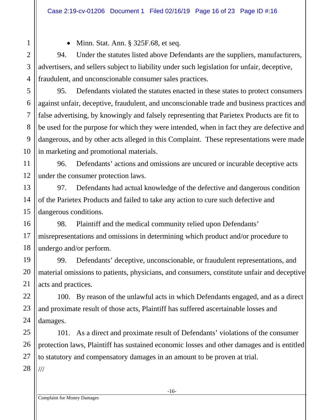• Minn. Stat. Ann. § 325F.68, et seq.

94. Under the statutes listed above Defendants are the suppliers, manufacturers, advertisers, and sellers subject to liability under such legislation for unfair, deceptive, fraudulent, and unconscionable consumer sales practices.

95. Defendants violated the statutes enacted in these states to protect consumers against unfair, deceptive, fraudulent, and unconscionable trade and business practices and false advertising, by knowingly and falsely representing that Parietex Products are fit to be used for the purpose for which they were intended, when in fact they are defective and dangerous, and by other acts alleged in this Complaint. These representations were made in marketing and promotional materials.

96. Defendants' actions and omissions are uncured or incurable deceptive acts under the consumer protection laws.

97. Defendants had actual knowledge of the defective and dangerous condition of the Parietex Products and failed to take any action to cure such defective and dangerous conditions.

98. Plaintiff and the medical community relied upon Defendants' misrepresentations and omissions in determining which product and/or procedure to undergo and/or perform.

99. Defendants' deceptive, unconscionable, or fraudulent representations, and material omissions to patients, physicians, and consumers, constitute unfair and deceptive acts and practices.

100. By reason of the unlawful acts in which Defendants engaged, and as a direct and proximate result of those acts, Plaintiff has suffered ascertainable losses and damages.

101. As a direct and proximate result of Defendants' violations of the consumer protection laws, Plaintiff has sustained economic losses and other damages and is entitled to statutory and compensatory damages in an amount to be proven at trial. ///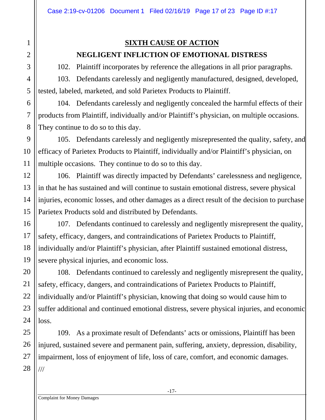# 1 2 3 4 5 6 7 8 9 10 11 12 13 14 15 16 17 18 19 20 21 22 23 24 25 26 27

28

### **SIXTH CAUSE OF ACTION NEGLIGENT INFLICTION OF EMOTIONAL DISTRESS**

102. Plaintiff incorporates by reference the allegations in all prior paragraphs.

103. Defendants carelessly and negligently manufactured, designed, developed, tested, labeled, marketed, and sold Parietex Products to Plaintiff.

104. Defendants carelessly and negligently concealed the harmful effects of their products from Plaintiff, individually and/or Plaintiff's physician, on multiple occasions. They continue to do so to this day.

105. Defendants carelessly and negligently misrepresented the quality, safety, and efficacy of Parietex Products to Plaintiff, individually and/or Plaintiff's physician, on multiple occasions. They continue to do so to this day.

106. Plaintiff was directly impacted by Defendants' carelessness and negligence, in that he has sustained and will continue to sustain emotional distress, severe physical injuries, economic losses, and other damages as a direct result of the decision to purchase Parietex Products sold and distributed by Defendants.

107. Defendants continued to carelessly and negligently misrepresent the quality, safety, efficacy, dangers, and contraindications of Parietex Products to Plaintiff, individually and/or Plaintiff's physician, after Plaintiff sustained emotional distress, severe physical injuries, and economic loss.

108. Defendants continued to carelessly and negligently misrepresent the quality, safety, efficacy, dangers, and contraindications of Parietex Products to Plaintiff, individually and/or Plaintiff's physician, knowing that doing so would cause him to suffer additional and continued emotional distress, severe physical injuries, and economic loss.

109. As a proximate result of Defendants' acts or omissions, Plaintiff has been injured, sustained severe and permanent pain, suffering, anxiety, depression, disability, impairment, loss of enjoyment of life, loss of care, comfort, and economic damages. ///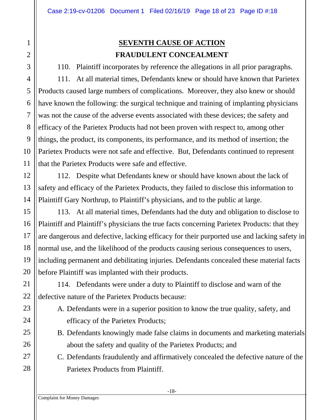# 1 2 3 4 5 6 7 8 9 10 11 12 13 14 15 16 17 18 19 20 21 22 23 24 25 26 27 28

# **SEVENTH CAUSE OF ACTION FRAUDULENT CONCEALMENT**

110. Plaintiff incorporates by reference the allegations in all prior paragraphs. 111. At all material times, Defendants knew or should have known that Parietex Products caused large numbers of complications. Moreover, they also knew or should have known the following: the surgical technique and training of implanting physicians was not the cause of the adverse events associated with these devices; the safety and efficacy of the Parietex Products had not been proven with respect to, among other things, the product, its components, its performance, and its method of insertion; the Parietex Products were not safe and effective. But, Defendants continued to represent that the Parietex Products were safe and effective.

112. Despite what Defendants knew or should have known about the lack of safety and efficacy of the Parietex Products, they failed to disclose this information to Plaintiff Gary Northrup, to Plaintiff's physicians, and to the public at large.

113. At all material times, Defendants had the duty and obligation to disclose to Plaintiff and Plaintiff's physicians the true facts concerning Parietex Products: that they are dangerous and defective, lacking efficacy for their purported use and lacking safety in normal use, and the likelihood of the products causing serious consequences to users, including permanent and debilitating injuries. Defendants concealed these material facts before Plaintiff was implanted with their products.

114. Defendants were under a duty to Plaintiff to disclose and warn of the defective nature of the Parietex Products because:

- A. Defendants were in a superior position to know the true quality, safety, and efficacy of the Parietex Products;
- B. Defendants knowingly made false claims in documents and marketing materials about the safety and quality of the Parietex Products; and
- C. Defendants fraudulently and affirmatively concealed the defective nature of the Parietex Products from Plaintiff.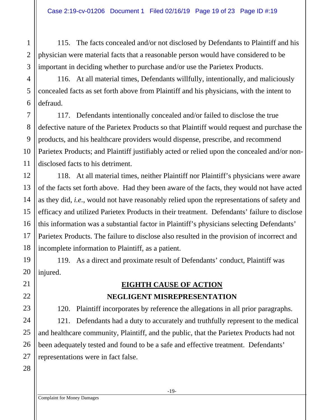115. The facts concealed and/or not disclosed by Defendants to Plaintiff and his physician were material facts that a reasonable person would have considered to be important in deciding whether to purchase and/or use the Parietex Products.

116. At all material times, Defendants willfully, intentionally, and maliciously concealed facts as set forth above from Plaintiff and his physicians, with the intent to defraud.

117. Defendants intentionally concealed and/or failed to disclose the true defective nature of the Parietex Products so that Plaintiff would request and purchase the products, and his healthcare providers would dispense, prescribe, and recommend Parietex Products; and Plaintiff justifiably acted or relied upon the concealed and/or nondisclosed facts to his detriment.

118. At all material times, neither Plaintiff nor Plaintiff's physicians were aware of the facts set forth above. Had they been aware of the facts, they would not have acted as they did, *i.e.*, would not have reasonably relied upon the representations of safety and efficacy and utilized Parietex Products in their treatment. Defendants' failure to disclose this information was a substantial factor in Plaintiff's physicians selecting Defendants' Parietex Products. The failure to disclose also resulted in the provision of incorrect and incomplete information to Plaintiff, as a patient.

119. As a direct and proximate result of Defendants' conduct, Plaintiff was injured.

# **EIGHTH CAUSE OF ACTION NEGLIGENT MISREPRESENTATION**

120. Plaintiff incorporates by reference the allegations in all prior paragraphs.

121. Defendants had a duty to accurately and truthfully represent to the medical and healthcare community, Plaintiff, and the public, that the Parietex Products had not been adequately tested and found to be a safe and effective treatment. Defendants' representations were in fact false.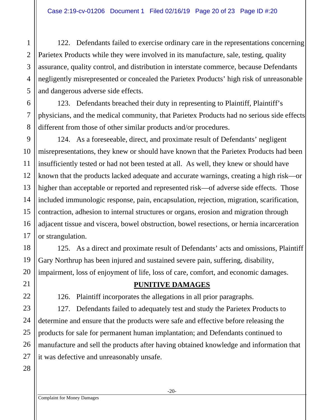122. Defendants failed to exercise ordinary care in the representations concerning Parietex Products while they were involved in its manufacture, sale, testing, quality assurance, quality control, and distribution in interstate commerce, because Defendants negligently misrepresented or concealed the Parietex Products' high risk of unreasonable and dangerous adverse side effects.

123. Defendants breached their duty in representing to Plaintiff, Plaintiff's physicians, and the medical community, that Parietex Products had no serious side effects different from those of other similar products and/or procedures.

124. As a foreseeable, direct, and proximate result of Defendants' negligent misrepresentations, they knew or should have known that the Parietex Products had been insufficiently tested or had not been tested at all. As well, they knew or should have known that the products lacked adequate and accurate warnings, creating a high risk—or higher than acceptable or reported and represented risk—of adverse side effects. Those included immunologic response, pain, encapsulation, rejection, migration, scarification, contraction, adhesion to internal structures or organs, erosion and migration through adjacent tissue and viscera, bowel obstruction, bowel resections, or hernia incarceration or strangulation.

125. As a direct and proximate result of Defendants' acts and omissions, Plaintiff Gary Northrup has been injured and sustained severe pain, suffering, disability, impairment, loss of enjoyment of life, loss of care, comfort, and economic damages.

#### **PUNITIVE DAMAGES**

126. Plaintiff incorporates the allegations in all prior paragraphs.

127. Defendants failed to adequately test and study the Parietex Products to determine and ensure that the products were safe and effective before releasing the products for sale for permanent human implantation; and Defendants continued to manufacture and sell the products after having obtained knowledge and information that it was defective and unreasonably unsafe.

1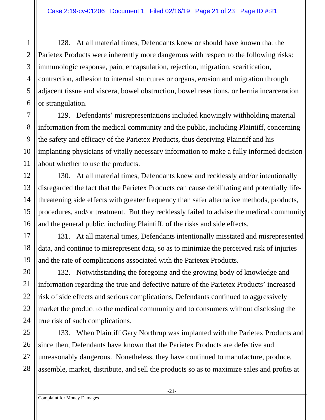128. At all material times, Defendants knew or should have known that the Parietex Products were inherently more dangerous with respect to the following risks: immunologic response, pain, encapsulation, rejection, migration, scarification, contraction, adhesion to internal structures or organs, erosion and migration through adjacent tissue and viscera, bowel obstruction, bowel resections, or hernia incarceration or strangulation.

129. Defendants' misrepresentations included knowingly withholding material information from the medical community and the public, including Plaintiff, concerning the safety and efficacy of the Parietex Products, thus depriving Plaintiff and his implanting physicians of vitally necessary information to make a fully informed decision about whether to use the products.

130. At all material times, Defendants knew and recklessly and/or intentionally disregarded the fact that the Parietex Products can cause debilitating and potentially lifethreatening side effects with greater frequency than safer alternative methods, products, procedures, and/or treatment. But they recklessly failed to advise the medical community and the general public, including Plaintiff, of the risks and side effects.

131. At all material times, Defendants intentionally misstated and misrepresented data, and continue to misrepresent data, so as to minimize the perceived risk of injuries and the rate of complications associated with the Parietex Products.

132. Notwithstanding the foregoing and the growing body of knowledge and information regarding the true and defective nature of the Parietex Products' increased risk of side effects and serious complications, Defendants continued to aggressively market the product to the medical community and to consumers without disclosing the true risk of such complications.

133. When Plaintiff Gary Northrup was implanted with the Parietex Products and since then, Defendants have known that the Parietex Products are defective and unreasonably dangerous. Nonetheless, they have continued to manufacture, produce, assemble, market, distribute, and sell the products so as to maximize sales and profits at

-21-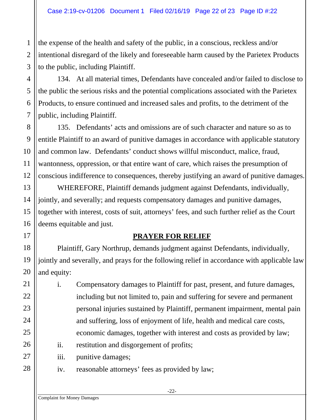the expense of the health and safety of the public, in a conscious, reckless and/or intentional disregard of the likely and foreseeable harm caused by the Parietex Products to the public, including Plaintiff.

134. At all material times, Defendants have concealed and/or failed to disclose to the public the serious risks and the potential complications associated with the Parietex Products, to ensure continued and increased sales and profits, to the detriment of the public, including Plaintiff.

135. Defendants' acts and omissions are of such character and nature so as to entitle Plaintiff to an award of punitive damages in accordance with applicable statutory and common law. Defendants' conduct shows willful misconduct, malice, fraud, wantonness, oppression, or that entire want of care, which raises the presumption of conscious indifference to consequences, thereby justifying an award of punitive damages.

 WHEREFORE, Plaintiff demands judgment against Defendants, individually, jointly, and severally; and requests compensatory damages and punitive damages, together with interest, costs of suit, attorneys' fees, and such further relief as the Court deems equitable and just.

#### **PRAYER FOR RELIEF**

 Plaintiff, Gary Northrup, demands judgment against Defendants, individually, jointly and severally, and prays for the following relief in accordance with applicable law and equity:

- i. Compensatory damages to Plaintiff for past, present, and future damages, including but not limited to, pain and suffering for severe and permanent personal injuries sustained by Plaintiff, permanent impairment, mental pain and suffering, loss of enjoyment of life, health and medical care costs, economic damages, together with interest and costs as provided by law;
	- ii. restitution and disgorgement of profits;
	- iii. punitive damages;
	- iv. reasonable attorneys' fees as provided by law;

1

2

3

4

5

6

7

8

9

10

11

12

13

14

15

16

17

18

19

20

21

22

23

24

25

26

27